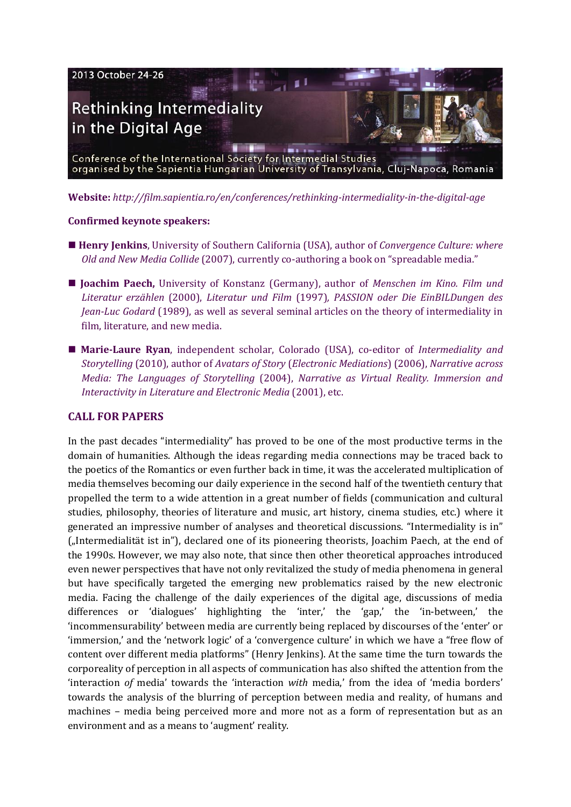

**Website:** *<http://film.sapientia.ro/en/conferences/rethinking-intermediality-in-the-digital-age>*

### **Confirmed keynote speakers:**

- **[Henry Jenkins](http://henryjenkins.org/aboutmehtml)**, University of Southern California (USA), author of *Convergence Culture: where Old and New Media Collide* (2007), currently co-authoring a book on "spreadable media."
- **[Joachim Paech,](http://www.joachim-paech.com/?page_id=9)** University of Konstanz (Germany), author of *Menschen im Kino. Film und Literatur erzählen* (2000), *Literatur und Film* (1997)*, PASSION oder Die EinBILDungen des Jean-Luc Godard* (1989), as well as several seminal articles on the theory of intermediality in film, literature, and new media.
- **[Marie-Laure Ryan](http://users.frii.com/mlryan/)**, independent scholar, Colorado (USA), co-editor of *Intermediality and Storytelling* (2010), author of *Avatars of Story* (*Electronic Mediations*) (2006), *Narrative across Media: The Languages of Storytelling* (2004), *Narrative as Virtual Reality. Immersion and Interactivity in Literature and Electronic Media* (2001), etc.

## **CALL FOR PAPERS**

In the past decades "intermediality" has proved to be one of the most productive terms in the domain of humanities. Although the ideas regarding media connections may be traced back to the poetics of the Romantics or even further back in time, it was the accelerated multiplication of media themselves becoming our daily experience in the second half of the twentieth century that propelled the term to a wide attention in a great number of fields (communication and cultural studies, philosophy, theories of literature and music, art history, cinema studies, etc.) where it generated an impressive number of analyses and theoretical discussions. "Intermediality is in" ("Intermedialität ist in"), declared one of its pioneering theorists, Joachim Paech, at the end of the 1990s. However, we may also note, that since then other theoretical approaches introduced even newer perspectives that have not only revitalized the study of media phenomena in general but have specifically targeted the emerging new problematics raised by the new electronic media. Facing the challenge of the daily experiences of the digital age, discussions of media differences or 'dialogues' highlighting the 'inter,' the 'gap,' the 'in-between,' the 'incommensurability' between media are currently being replaced by discourses of the 'enter' or 'immersion,' and the 'network logic' of a 'convergence culture' in which we have a "free flow of content over different media platforms" (Henry Jenkins). At the same time the turn towards the corporeality of perception in all aspects of communication has also shifted the attention from the 'interaction *of* media' towards the 'interaction *with* media,' from the idea of 'media borders' towards the analysis of the blurring of perception between media and reality, of humans and machines – media being perceived more and more not as a form of representation but as an environment and as a means to 'augment' reality.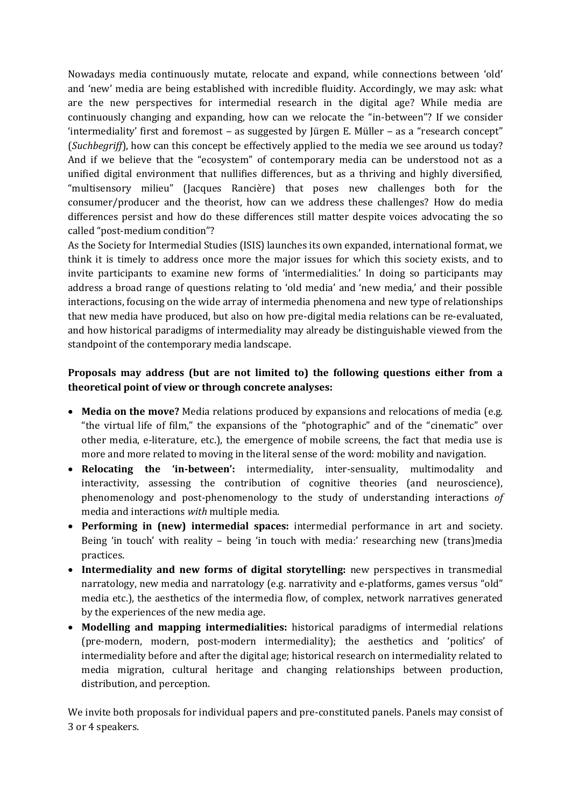Nowadays media continuously mutate, relocate and expand, while connections between 'old' and 'new' media are being established with incredible fluidity. Accordingly, we may ask: what are the new perspectives for intermedial research in the digital age? While media are continuously changing and expanding, how can we relocate the "in-between"? If we consider 'intermediality' first and foremost – as suggested by Jürgen E. Müller – as a "research concept" (*Suchbegriff*), how can this concept be effectively applied to the media we see around us today? And if we believe that the "ecosystem" of contemporary media can be understood not as a unified digital environment that nullifies differences, but as a thriving and highly diversified, "multisensory milieu" (Jacques Rancière) that poses new challenges both for the consumer/producer and the theorist, how can we address these challenges? How do media differences persist and how do these differences still matter despite voices advocating the so called "post-medium condition"?

As the Society for Intermedial Studies (ISIS) launches its own expanded, international format, we think it is timely to address once more the major issues for which this society exists, and to invite participants to examine new forms of 'intermedialities.' In doing so participants may address a broad range of questions relating to 'old media' and 'new media,' and their possible interactions, focusing on the wide array of intermedia phenomena and new type of relationships that new media have produced, but also on how pre-digital media relations can be re-evaluated, and how historical paradigms of intermediality may already be distinguishable viewed from the standpoint of the contemporary media landscape.

# **Proposals may address (but are not limited to) the following questions either from a theoretical point of view or through concrete analyses:**

- **Media on the move?** Media relations produced by expansions and relocations of media (e.g. "the virtual life of film," the expansions of the "photographic" and of the "cinematic" over other media, e-literature, etc.), the emergence of mobile screens, the fact that media use is more and more related to moving in the literal sense of the word: mobility and navigation.
- Relocating the 'in-between': intermediality, inter-sensuality, multimodality and interactivity, assessing the contribution of cognitive theories (and neuroscience), phenomenology and post-phenomenology to the study of understanding interactions *of* media and interactions *with* multiple media.
- **Performing in (new) intermedial spaces:** intermedial performance in art and society. Being 'in touch' with reality – being 'in touch with media:' researching new (trans)media practices.
- **Intermediality and new forms of digital storytelling:** new perspectives in transmedial narratology, new media and narratology (e.g. narrativity and e-platforms, games versus "old" media etc.), the aesthetics of the intermedia flow, of complex, network narratives generated by the experiences of the new media age.
- **Modelling and mapping intermedialities:** historical paradigms of intermedial relations (pre-modern, modern, post-modern intermediality); the aesthetics and 'politics' of intermediality before and after the digital age; historical research on intermediality related to media migration, cultural heritage and changing relationships between production, distribution, and perception.

We invite both proposals for individual papers and pre-constituted panels. Panels may consist of 3 or 4 speakers.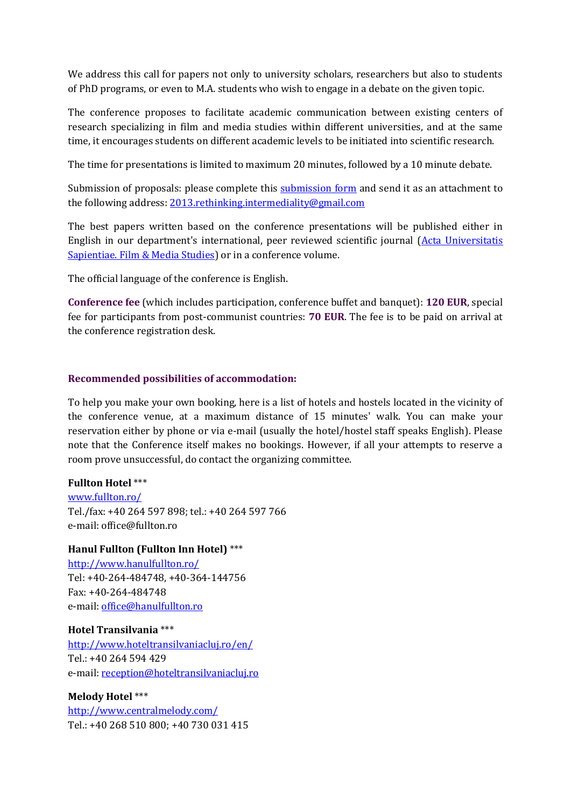We address this call for papers not only to university scholars, researchers but also to students of PhD programs, or even to M.A. students who wish to engage in a debate on the given topic.

The conference proposes to facilitate academic communication between existing centers of research specializing in film and media studies within different universities, and at the same time, it encourages students on different academic levels to be initiated into scientific research.

The time for presentations is limited to maximum 20 minutes, followed by a 10 minute debate.

Submission of proposals: please complete this [submission form](http://film.sapientia.ro/uploads/konferenciak/2013.%20ISIS_Submission%20form.doc) and send it as an attachment to the following address: [2013.rethinking.intermediality@gmail.com](mailto:%202013.rethinking.intermediality@gmail.com)

The best papers written based on the conference presentations will be published either in English in our department's international, peer reviewed scientific journal (Acta Universitatis [Sapientiae. Film & Media Studies\)](http://www.acta.sapientia.ro/acta-film/film-main.htm) or in a conference volume.

The official language of the conference is English.

**Conference fee** (which includes participation, conference buffet and banquet): **120 EUR**, special fee for participants from post-communist countries: **70 EUR**. The fee is to be paid on arrival at the conference registration desk.

#### **Recommended possibilities of accommodation:**

To help you make your own booking, here is a list of hotels and hostels located in the vicinity of the conference venue, at a maximum distance of 15 minutes' walk. You can make your reservation either by phone or via e-mail (usually the hotel/hostel staff speaks English). Please note that the Conference itself makes no bookings. However, if all your attempts to reserve a room prove unsuccessful, do contact the organizing committee.

#### **Fullton Hotel** \*\*\*

[www.fullton.ro/](http://www.fullton.ro/) Tel./fax: +40 264 597 898; tel.: +40 264 597 766 e-mail: office@fullton.ro

#### **Hanul Fullton (Fullton Inn Hotel)** \*\*[\\*](http://www.hanulfullton.ro/)

<http://www.hanulfullton.ro/> Tel: +40-264-484748, +40-364-144756 Fax: +40-264-484748 e-mail: [office@hanulfullton.ro](mailto:office@hanulfullton.ro)

#### **Hotel Transilvania** \*\*\*

<http://www.hoteltransilvaniacluj.ro/en/> Tel.: +40 264 594 429 e-mail: [reception@hoteltransilvaniacluj.ro](mailto:reception@hoteltransilvaniacluj.ro)

#### **Melody Hotel** \*\*\*

[http://www.centralmelody.com/](http://www.centralmelody.com/intro7_en.swf) Tel.: +40 268 510 800; +40 730 031 415